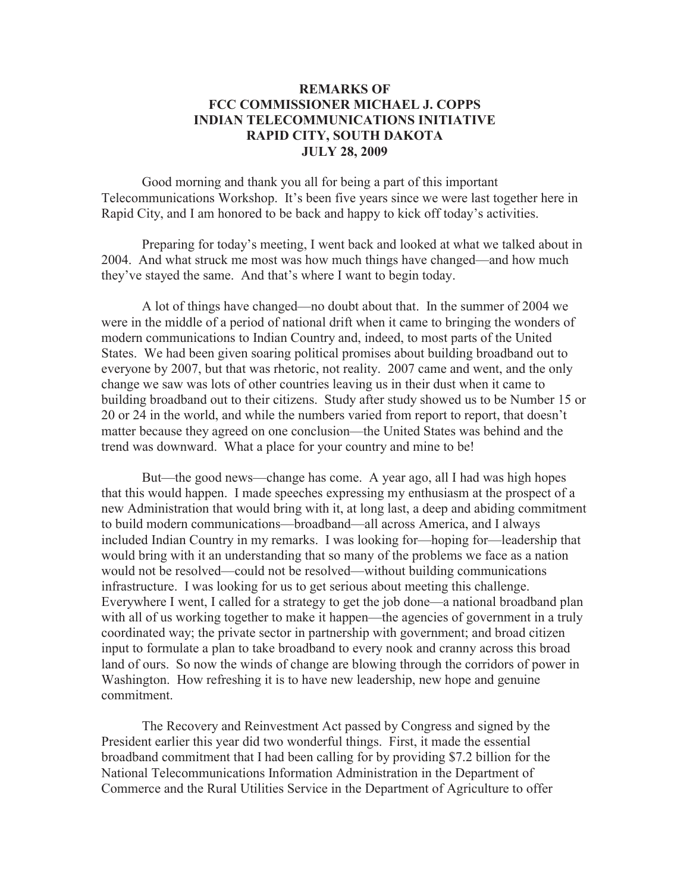## **REMARKS OF FCC COMMISSIONER MICHAEL J. COPPS INDIAN TELECOMMUNICATIONS INITIATIVE RAPID CITY, SOUTH DAKOTA JULY 28, 2009**

Good morning and thank you all for being a part of this important Telecommunications Workshop. It's been five years since we were last together here in Rapid City, and I am honored to be back and happy to kick off today's activities.

Preparing for today's meeting, I went back and looked at what we talked about in 2004. And what struck me most was how much things have changed—and how much they've stayed the same. And that's where I want to begin today.

A lot of things have changed—no doubt about that. In the summer of 2004 we were in the middle of a period of national drift when it came to bringing the wonders of modern communications to Indian Country and, indeed, to most parts of the United States. We had been given soaring political promises about building broadband out to everyone by 2007, but that was rhetoric, not reality. 2007 came and went, and the only change we saw was lots of other countries leaving us in their dust when it came to building broadband out to their citizens. Study after study showed us to be Number 15 or 20 or 24 in the world, and while the numbers varied from report to report, that doesn't matter because they agreed on one conclusion—the United States was behind and the trend was downward. What a place for your country and mine to be!

But—the good news—change has come. A year ago, all I had was high hopes that this would happen. I made speeches expressing my enthusiasm at the prospect of a new Administration that would bring with it, at long last, a deep and abiding commitment to build modern communications—broadband—all across America, and I always included Indian Country in my remarks. I was looking for—hoping for—leadership that would bring with it an understanding that so many of the problems we face as a nation would not be resolved—could not be resolved—without building communications infrastructure. I was looking for us to get serious about meeting this challenge. Everywhere I went, I called for a strategy to get the job done—a national broadband plan with all of us working together to make it happen—the agencies of government in a truly coordinated way; the private sector in partnership with government; and broad citizen input to formulate a plan to take broadband to every nook and cranny across this broad land of ours. So now the winds of change are blowing through the corridors of power in Washington. How refreshing it is to have new leadership, new hope and genuine commitment.

The Recovery and Reinvestment Act passed by Congress and signed by the President earlier this year did two wonderful things. First, it made the essential broadband commitment that I had been calling for by providing \$7.2 billion for the National Telecommunications Information Administration in the Department of Commerce and the Rural Utilities Service in the Department of Agriculture to offer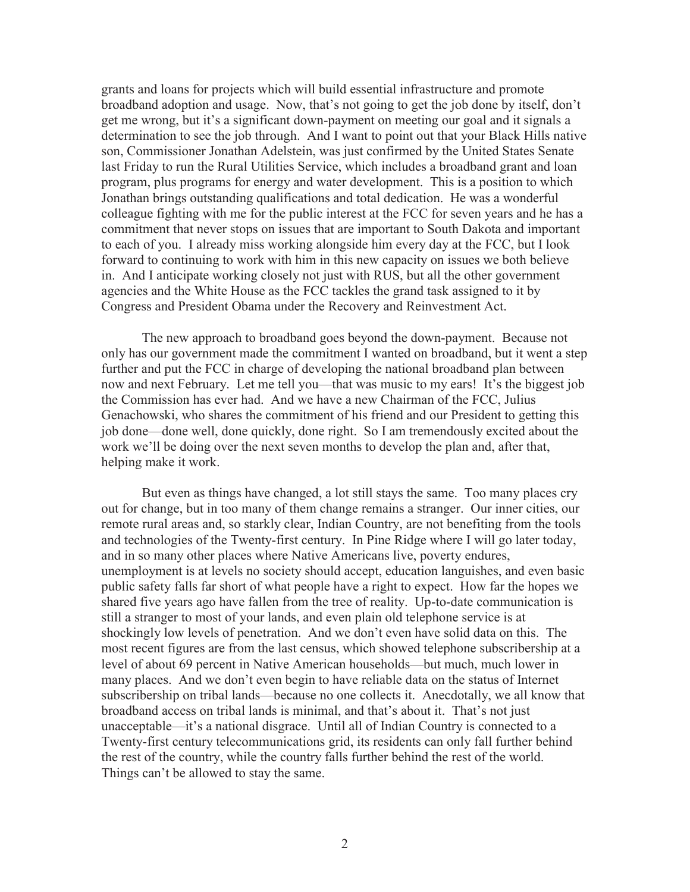grants and loans for projects which will build essential infrastructure and promote broadband adoption and usage. Now, that's not going to get the job done by itself, don't get me wrong, but it's a significant down-payment on meeting our goal and it signals a determination to see the job through. And I want to point out that your Black Hills native son, Commissioner Jonathan Adelstein, was just confirmed by the United States Senate last Friday to run the Rural Utilities Service, which includes a broadband grant and loan program, plus programs for energy and water development. This is a position to which Jonathan brings outstanding qualifications and total dedication. He was a wonderful colleague fighting with me for the public interest at the FCC for seven years and he has a commitment that never stops on issues that are important to South Dakota and important to each of you. I already miss working alongside him every day at the FCC, but I look forward to continuing to work with him in this new capacity on issues we both believe in. And I anticipate working closely not just with RUS, but all the other government agencies and the White House as the FCC tackles the grand task assigned to it by Congress and President Obama under the Recovery and Reinvestment Act.

The new approach to broadband goes beyond the down-payment. Because not only has our government made the commitment I wanted on broadband, but it went a step further and put the FCC in charge of developing the national broadband plan between now and next February. Let me tell you—that was music to my ears! It's the biggest job the Commission has ever had. And we have a new Chairman of the FCC, Julius Genachowski, who shares the commitment of his friend and our President to getting this job done—done well, done quickly, done right. So I am tremendously excited about the work we'll be doing over the next seven months to develop the plan and, after that, helping make it work.

But even as things have changed, a lot still stays the same. Too many places cry out for change, but in too many of them change remains a stranger. Our inner cities, our remote rural areas and, so starkly clear, Indian Country, are not benefiting from the tools and technologies of the Twenty-first century. In Pine Ridge where I will go later today, and in so many other places where Native Americans live, poverty endures, unemployment is at levels no society should accept, education languishes, and even basic public safety falls far short of what people have a right to expect. How far the hopes we shared five years ago have fallen from the tree of reality. Up-to-date communication is still a stranger to most of your lands, and even plain old telephone service is at shockingly low levels of penetration. And we don't even have solid data on this. The most recent figures are from the last census, which showed telephone subscribership at a level of about 69 percent in Native American households—but much, much lower in many places. And we don't even begin to have reliable data on the status of Internet subscribership on tribal lands—because no one collects it. Anecdotally, we all know that broadband access on tribal lands is minimal, and that's about it. That's not just unacceptable—it's a national disgrace. Until all of Indian Country is connected to a Twenty-first century telecommunications grid, its residents can only fall further behind the rest of the country, while the country falls further behind the rest of the world. Things can't be allowed to stay the same.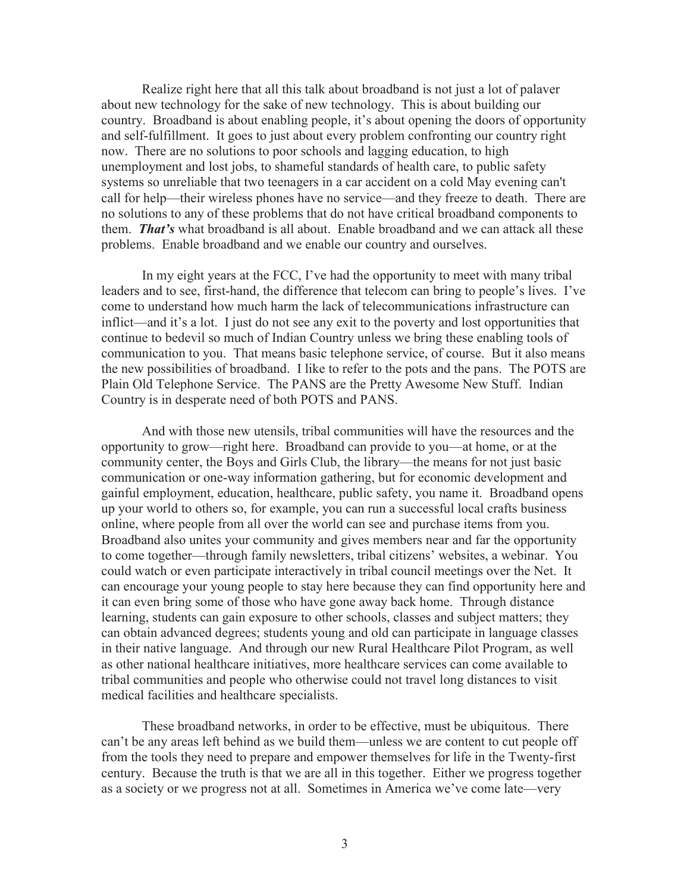Realize right here that all this talk about broadband is not just a lot of palaver about new technology for the sake of new technology. This is about building our country. Broadband is about enabling people, it's about opening the doors of opportunity and self-fulfillment. It goes to just about every problem confronting our country right now. There are no solutions to poor schools and lagging education, to high unemployment and lost jobs, to shameful standards of health care, to public safety systems so unreliable that two teenagers in a car accident on a cold May evening can't call for help—their wireless phones have no service—and they freeze to death. There are no solutions to any of these problems that do not have critical broadband components to them. *That's* what broadband is all about. Enable broadband and we can attack all these problems. Enable broadband and we enable our country and ourselves.

In my eight years at the FCC, I've had the opportunity to meet with many tribal leaders and to see, first-hand, the difference that telecom can bring to people's lives. I've come to understand how much harm the lack of telecommunications infrastructure can inflict—and it's a lot. I just do not see any exit to the poverty and lost opportunities that continue to bedevil so much of Indian Country unless we bring these enabling tools of communication to you. That means basic telephone service, of course. But it also means the new possibilities of broadband. I like to refer to the pots and the pans. The POTS are Plain Old Telephone Service. The PANS are the Pretty Awesome New Stuff. Indian Country is in desperate need of both POTS and PANS.

And with those new utensils, tribal communities will have the resources and the opportunity to grow—right here. Broadband can provide to you—at home, or at the community center, the Boys and Girls Club, the library—the means for not just basic communication or one-way information gathering, but for economic development and gainful employment, education, healthcare, public safety, you name it. Broadband opens up your world to others so, for example, you can run a successful local crafts business online, where people from all over the world can see and purchase items from you. Broadband also unites your community and gives members near and far the opportunity to come together—through family newsletters, tribal citizens' websites, a webinar. You could watch or even participate interactively in tribal council meetings over the Net. It can encourage your young people to stay here because they can find opportunity here and it can even bring some of those who have gone away back home. Through distance learning, students can gain exposure to other schools, classes and subject matters; they can obtain advanced degrees; students young and old can participate in language classes in their native language. And through our new Rural Healthcare Pilot Program, as well as other national healthcare initiatives, more healthcare services can come available to tribal communities and people who otherwise could not travel long distances to visit medical facilities and healthcare specialists.

These broadband networks, in order to be effective, must be ubiquitous. There can't be any areas left behind as we build them—unless we are content to cut people off from the tools they need to prepare and empower themselves for life in the Twenty-first century. Because the truth is that we are all in this together. Either we progress together as a society or we progress not at all. Sometimes in America we've come late—very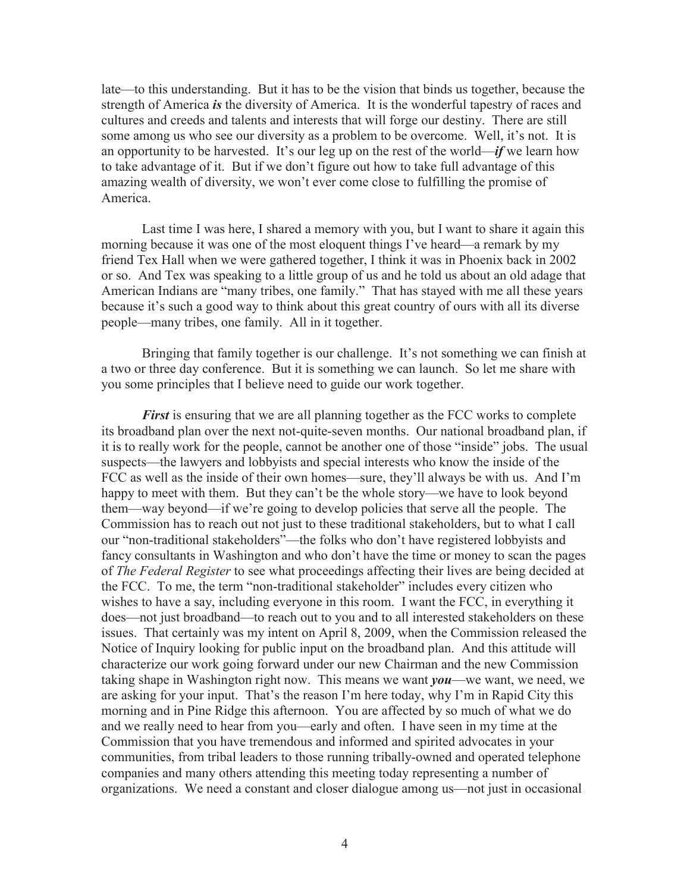late—to this understanding. But it has to be the vision that binds us together, because the strength of America *is* the diversity of America. It is the wonderful tapestry of races and cultures and creeds and talents and interests that will forge our destiny. There are still some among us who see our diversity as a problem to be overcome. Well, it's not. It is an opportunity to be harvested. It's our leg up on the rest of the world—*if* we learn how to take advantage of it. But if we don't figure out how to take full advantage of this amazing wealth of diversity, we won't ever come close to fulfilling the promise of America.

Last time I was here, I shared a memory with you, but I want to share it again this morning because it was one of the most eloquent things I've heard—a remark by my friend Tex Hall when we were gathered together, I think it was in Phoenix back in 2002 or so. And Tex was speaking to a little group of us and he told us about an old adage that American Indians are "many tribes, one family." That has stayed with me all these years because it's such a good way to think about this great country of ours with all its diverse people—many tribes, one family. All in it together.

Bringing that family together is our challenge. It's not something we can finish at a two or three day conference. But it is something we can launch. So let me share with you some principles that I believe need to guide our work together.

*First* is ensuring that we are all planning together as the FCC works to complete its broadband plan over the next not-quite-seven months. Our national broadband plan, if it is to really work for the people, cannot be another one of those "inside" jobs. The usual suspects—the lawyers and lobbyists and special interests who know the inside of the FCC as well as the inside of their own homes—sure, they'll always be with us. And I'm happy to meet with them. But they can't be the whole story—we have to look beyond them—way beyond—if we're going to develop policies that serve all the people. The Commission has to reach out not just to these traditional stakeholders, but to what I call our "non-traditional stakeholders"—the folks who don't have registered lobbyists and fancy consultants in Washington and who don't have the time or money to scan the pages of *The Federal Register* to see what proceedings affecting their lives are being decided at the FCC. To me, the term "non-traditional stakeholder" includes every citizen who wishes to have a say, including everyone in this room. I want the FCC, in everything it does—not just broadband—to reach out to you and to all interested stakeholders on these issues. That certainly was my intent on April 8, 2009, when the Commission released the Notice of Inquiry looking for public input on the broadband plan. And this attitude will characterize our work going forward under our new Chairman and the new Commission taking shape in Washington right now. This means we want *you*—we want, we need, we are asking for your input. That's the reason I'm here today, why I'm in Rapid City this morning and in Pine Ridge this afternoon. You are affected by so much of what we do and we really need to hear from you—early and often. I have seen in my time at the Commission that you have tremendous and informed and spirited advocates in your communities, from tribal leaders to those running tribally-owned and operated telephone companies and many others attending this meeting today representing a number of organizations. We need a constant and closer dialogue among us—not just in occasional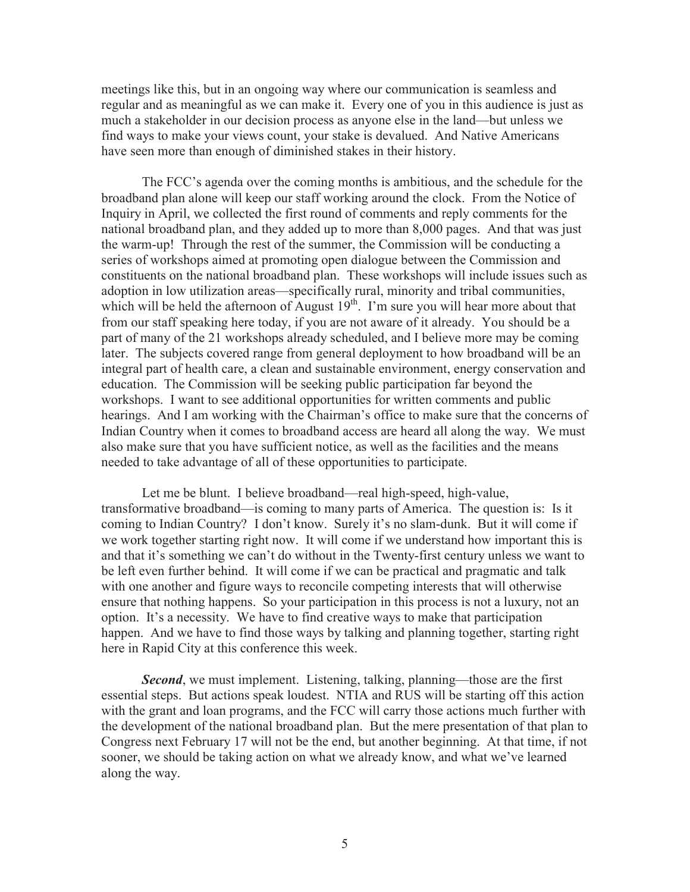meetings like this, but in an ongoing way where our communication is seamless and regular and as meaningful as we can make it. Every one of you in this audience is just as much a stakeholder in our decision process as anyone else in the land—but unless we find ways to make your views count, your stake is devalued. And Native Americans have seen more than enough of diminished stakes in their history.

The FCC's agenda over the coming months is ambitious, and the schedule for the broadband plan alone will keep our staff working around the clock. From the Notice of Inquiry in April, we collected the first round of comments and reply comments for the national broadband plan, and they added up to more than 8,000 pages. And that was just the warm-up! Through the rest of the summer, the Commission will be conducting a series of workshops aimed at promoting open dialogue between the Commission and constituents on the national broadband plan. These workshops will include issues such as adoption in low utilization areas—specifically rural, minority and tribal communities, which will be held the afternoon of August  $19<sup>th</sup>$ . I'm sure you will hear more about that from our staff speaking here today, if you are not aware of it already. You should be a part of many of the 21 workshops already scheduled, and I believe more may be coming later. The subjects covered range from general deployment to how broadband will be an integral part of health care, a clean and sustainable environment, energy conservation and education. The Commission will be seeking public participation far beyond the workshops. I want to see additional opportunities for written comments and public hearings. And I am working with the Chairman's office to make sure that the concerns of Indian Country when it comes to broadband access are heard all along the way. We must also make sure that you have sufficient notice, as well as the facilities and the means needed to take advantage of all of these opportunities to participate.

Let me be blunt. I believe broadband—real high-speed, high-value, transformative broadband—is coming to many parts of America. The question is: Is it coming to Indian Country? I don't know. Surely it's no slam-dunk. But it will come if we work together starting right now. It will come if we understand how important this is and that it's something we can't do without in the Twenty-first century unless we want to be left even further behind. It will come if we can be practical and pragmatic and talk with one another and figure ways to reconcile competing interests that will otherwise ensure that nothing happens. So your participation in this process is not a luxury, not an option. It's a necessity. We have to find creative ways to make that participation happen. And we have to find those ways by talking and planning together, starting right here in Rapid City at this conference this week.

*Second*, we must implement. Listening, talking, planning—those are the first essential steps. But actions speak loudest. NTIA and RUS will be starting off this action with the grant and loan programs, and the FCC will carry those actions much further with the development of the national broadband plan. But the mere presentation of that plan to Congress next February 17 will not be the end, but another beginning. At that time, if not sooner, we should be taking action on what we already know, and what we've learned along the way.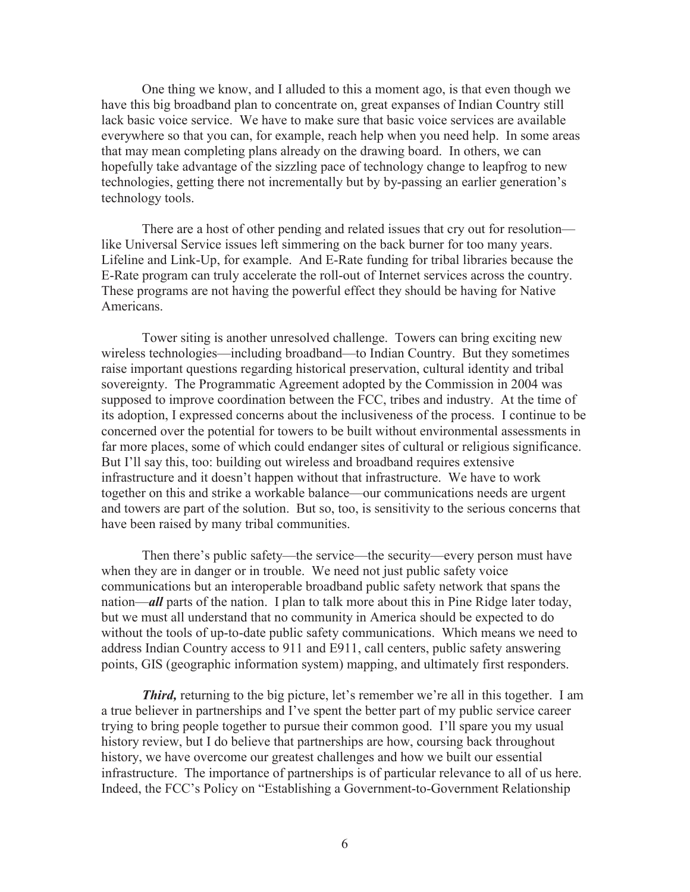One thing we know, and I alluded to this a moment ago, is that even though we have this big broadband plan to concentrate on, great expanses of Indian Country still lack basic voice service. We have to make sure that basic voice services are available everywhere so that you can, for example, reach help when you need help. In some areas that may mean completing plans already on the drawing board. In others, we can hopefully take advantage of the sizzling pace of technology change to leapfrog to new technologies, getting there not incrementally but by by-passing an earlier generation's technology tools.

There are a host of other pending and related issues that cry out for resolution like Universal Service issues left simmering on the back burner for too many years. Lifeline and Link-Up, for example. And E-Rate funding for tribal libraries because the E-Rate program can truly accelerate the roll-out of Internet services across the country. These programs are not having the powerful effect they should be having for Native Americans.

Tower siting is another unresolved challenge. Towers can bring exciting new wireless technologies—including broadband—to Indian Country. But they sometimes raise important questions regarding historical preservation, cultural identity and tribal sovereignty. The Programmatic Agreement adopted by the Commission in 2004 was supposed to improve coordination between the FCC, tribes and industry. At the time of its adoption, I expressed concerns about the inclusiveness of the process. I continue to be concerned over the potential for towers to be built without environmental assessments in far more places, some of which could endanger sites of cultural or religious significance. But I'll say this, too: building out wireless and broadband requires extensive infrastructure and it doesn't happen without that infrastructure. We have to work together on this and strike a workable balance—our communications needs are urgent and towers are part of the solution. But so, too, is sensitivity to the serious concerns that have been raised by many tribal communities.

Then there's public safety—the service—the security—every person must have when they are in danger or in trouble. We need not just public safety voice communications but an interoperable broadband public safety network that spans the nation—*all* parts of the nation. I plan to talk more about this in Pine Ridge later today, but we must all understand that no community in America should be expected to do without the tools of up-to-date public safety communications. Which means we need to address Indian Country access to 911 and E911, call centers, public safety answering points, GIS (geographic information system) mapping, and ultimately first responders.

*Third*, returning to the big picture, let's remember we're all in this together. I am a true believer in partnerships and I've spent the better part of my public service career trying to bring people together to pursue their common good. I'll spare you my usual history review, but I do believe that partnerships are how, coursing back throughout history, we have overcome our greatest challenges and how we built our essential infrastructure. The importance of partnerships is of particular relevance to all of us here. Indeed, the FCC's Policy on "Establishing a Government-to-Government Relationship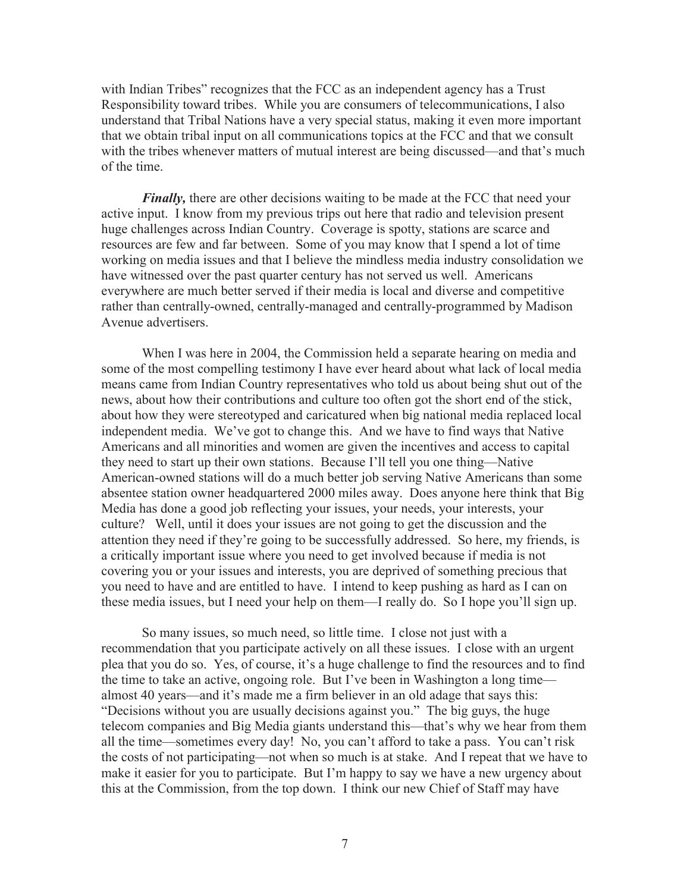with Indian Tribes" recognizes that the FCC as an independent agency has a Trust Responsibility toward tribes. While you are consumers of telecommunications, I also understand that Tribal Nations have a very special status, making it even more important that we obtain tribal input on all communications topics at the FCC and that we consult with the tribes whenever matters of mutual interest are being discussed—and that's much of the time.

*Finally*, there are other decisions waiting to be made at the FCC that need your active input. I know from my previous trips out here that radio and television present huge challenges across Indian Country. Coverage is spotty, stations are scarce and resources are few and far between. Some of you may know that I spend a lot of time working on media issues and that I believe the mindless media industry consolidation we have witnessed over the past quarter century has not served us well. Americans everywhere are much better served if their media is local and diverse and competitive rather than centrally-owned, centrally-managed and centrally-programmed by Madison Avenue advertisers.

When I was here in 2004, the Commission held a separate hearing on media and some of the most compelling testimony I have ever heard about what lack of local media means came from Indian Country representatives who told us about being shut out of the news, about how their contributions and culture too often got the short end of the stick, about how they were stereotyped and caricatured when big national media replaced local independent media. We've got to change this. And we have to find ways that Native Americans and all minorities and women are given the incentives and access to capital they need to start up their own stations. Because I'll tell you one thing—Native American-owned stations will do a much better job serving Native Americans than some absentee station owner headquartered 2000 miles away. Does anyone here think that Big Media has done a good job reflecting your issues, your needs, your interests, your culture? Well, until it does your issues are not going to get the discussion and the attention they need if they're going to be successfully addressed. So here, my friends, is a critically important issue where you need to get involved because if media is not covering you or your issues and interests, you are deprived of something precious that you need to have and are entitled to have. I intend to keep pushing as hard as I can on these media issues, but I need your help on them—I really do. So I hope you'll sign up.

So many issues, so much need, so little time. I close not just with a recommendation that you participate actively on all these issues. I close with an urgent plea that you do so. Yes, of course, it's a huge challenge to find the resources and to find the time to take an active, ongoing role. But I've been in Washington a long time almost 40 years—and it's made me a firm believer in an old adage that says this: "Decisions without you are usually decisions against you." The big guys, the huge telecom companies and Big Media giants understand this—that's why we hear from them all the time—sometimes every day! No, you can't afford to take a pass. You can't risk the costs of not participating—not when so much is at stake. And I repeat that we have to make it easier for you to participate. But I'm happy to say we have a new urgency about this at the Commission, from the top down. I think our new Chief of Staff may have